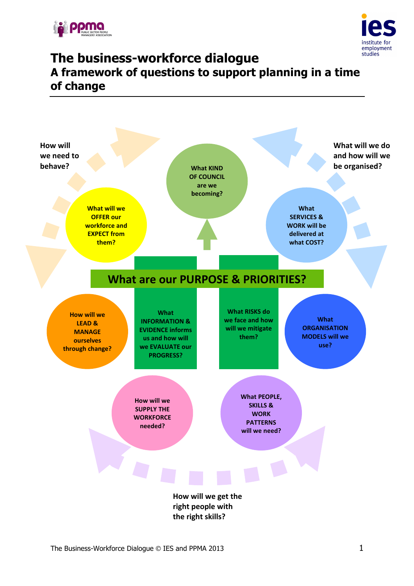<span id="page-0-0"></span>



# The business-workforce dialogue A framework of questions to support planning in a time of change

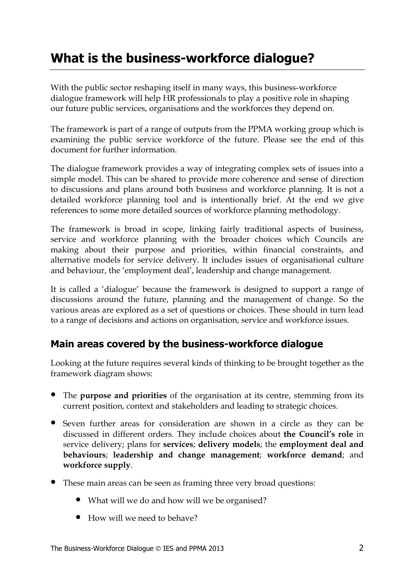# What is the business-workforce dialogue?

With the public sector reshaping itself in many ways, this business-workforce dialogue framework will help HR professionals to play a positive role in shaping our future public services, organisations and the workforces they depend on.

The framework is part of a range of outputs from the PPMA working group which is examining the public service workforce of the future. Please see the end of this document for further information.

The dialogue framework provides a way of integrating complex sets of issues into a simple model. This can be shared to provide more coherence and sense of direction to discussions and plans around both business and workforce planning. It is not a detailed workforce planning tool and is intentionally brief. At the end we give references to some more detailed sources of workforce planning methodology.

The framework is broad in scope, linking fairly traditional aspects of business, service and workforce planning with the broader choices which Councils are making about their purpose and priorities, within financial constraints, and alternative models for service delivery. It includes issues of organisational culture and behaviour, the 'employment deal', leadership and change management.

It is called a 'dialogue' because the framework is designed to support a range of discussions around the future, planning and the management of change. So the various areas are explored as a set of questions or choices. These should in turn lead to a range of decisions and actions on organisation, service and workforce issues.

### Main areas covered by the business-workforce dialogue

Looking at the future requires several kinds of thinking to be brought together as the framework diagram shows:

- The purpose and priorities of the organisation at its centre, stemming from its current position, context and stakeholders and leading to strategic choices.
- Seven further areas for consideration are shown in a circle as they can be discussed in different orders. They include choices about the Council's role in service delivery; plans for services; delivery models; the employment deal and behaviours; leadership and change management; workforce demand; and workforce supply.
- These main areas can be seen as framing three very broad questions:
	- What will we do and how will we be organised?
	- How will we need to behave?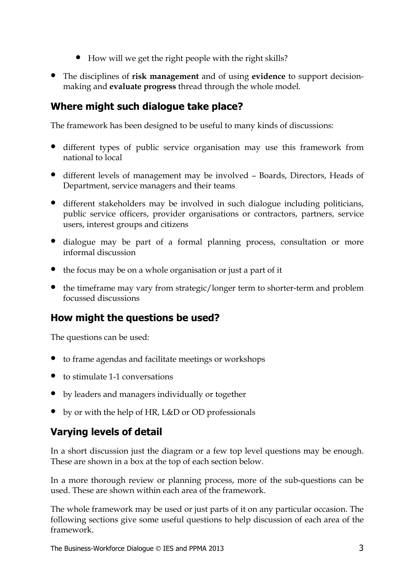- How will we get the right people with the right skills?
- The disciplines of risk management and of using evidence to support decisionmaking and evaluate progress thread through the whole model.

# Where might such dialogue take place?

The framework has been designed to be useful to many kinds of discussions:

- different types of public service organisation may use this framework from national to local
- different levels of management may be involved Boards, Directors, Heads of Department, service managers and their teams
- different stakeholders may be involved in such dialogue including politicians, public service officers, provider organisations or contractors, partners, service users, interest groups and citizens
- dialogue may be part of a formal planning process, consultation or more informal discussion
- the focus may be on a whole organisation or just a part of it
- the timeframe may vary from strategic/longer term to shorter-term and problem focussed discussions

### How might the questions be used?

The questions can be used:

- to frame agendas and facilitate meetings or workshops
- to stimulate 1-1 conversations
- by leaders and managers individually or together
- by or with the help of HR, L&D or OD professionals

# Varying levels of detail

In a short discussion just the diagram or a few top level questions may be enough. These are shown in a box at the top of each section below.

In a more thorough review or planning process, more of the sub-questions can be used. These are shown within each area of the framework.

The whole framework may be used or just parts of it on any particular occasion. The following sections give some useful questions to help discussion of each area of the framework.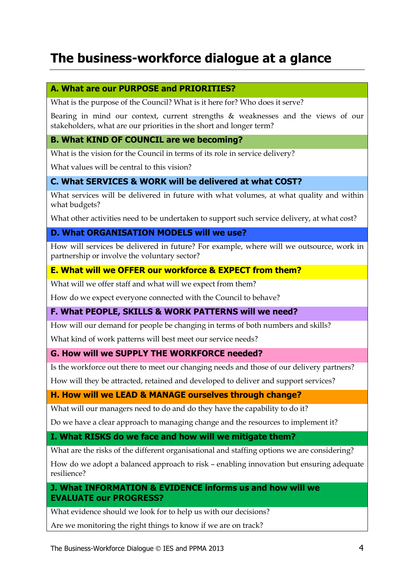# The business-workforce dialogue at a glance

#### A. What are our PURPOSE and PRIORITIES?

What is the purpose of the Council? What is it here for? Who does it serve?

Bearing in mind our context, current strengths & weaknesses and the views of our stakeholders, what are our priorities in the short and longer term?

#### B. What KIND OF COUNCIL are we becoming?

What is the vision for the Council in terms of its role in service delivery?

What values will be central to this vision?

#### C. What SERVICES & WORK will be delivered at what COST?

What services will be delivered in future with what volumes, at what quality and within what budgets?

What other activities need to be undertaken to support such service delivery, at what cost?

#### D. What ORGANISATION MODELS will we use?

How will services be delivered in future? For example, where will we outsource, work in partnership or involve the voluntary sector?

#### E. What will we OFFER our workforce & EXPECT from them?

What will we offer staff and what will we expect from them?

How do we expect everyone connected with the Council to behave?

#### F. What PEOPLE, SKILLS & WORK PATTERNS will we need?

How will our demand for people be changing in terms of both numbers and skills?

What kind of work patterns will best meet our service needs?

#### G. How will we SUPPLY THE WORKFORCE needed?

Is the workforce out there to meet our changing needs and those of our delivery partners?

How will they be attracted, retained and developed to deliver and support services?

#### H. How will we LEAD & MANAGE ourselves through change?

What will our managers need to do and do they have the capability to do it?

Do we have a clear approach to managing change and the resources to implement it?

#### I. What RISKS do we face and how will we mitigate them?

What are the risks of the different organisational and staffing options we are considering?

How do we adopt a balanced approach to risk – enabling innovation but ensuring adequate resilience?

#### J. What INFORMATION & EVIDENCE informs us and how will we EVALUATE our PROGRESS?

What evidence should we look for to help us with our decisions?

Are we monitoring the right things to know if we are on track?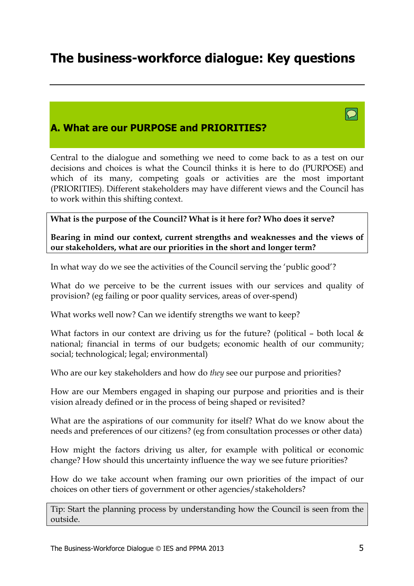# <span id="page-4-0"></span>The business-workforce dialogue: Key questions

### [A. What are our PURPOSE and PRIORITIES?](#page-0-0)

Central to the dialogue and something we need to come back to as a test on our decisions and choices is what the Council thinks it is here to do (PURPOSE) and which of its many, competing goals or activities are the most important (PRIORITIES). Different stakeholders may have different views and the Council has to work within this shifting context.

What is the purpose of the Council? What is it here for? Who does it serve?

Bearing in mind our context, current strengths and weaknesses and the views of our stakeholders, what are our priorities in the short and longer term?

In what way do we see the activities of the Council serving the 'public good'?

What do we perceive to be the current issues with our services and quality of provision? (eg failing or poor quality services, areas of over-spend)

What works well now? Can we identify strengths we want to keep?

What factors in our context are driving us for the future? (political - both local  $\&$ national; financial in terms of our budgets; economic health of our community; social; technological; legal; environmental)

Who are our key stakeholders and how do *they* see our purpose and priorities?

How are our Members engaged in shaping our purpose and priorities and is their vision already defined or in the process of being shaped or revisited?

What are the aspirations of our community for itself? What do we know about the needs and preferences of our citizens? (eg from consultation processes or other data)

How might the factors driving us alter, for example with political or economic change? How should this uncertainty influence the way we see future priorities?

How do we take account when framing our own priorities of the impact of our choices on other tiers of government or other agencies/stakeholders?

Tip: Start the planning process by understanding how the Council is seen from the outside.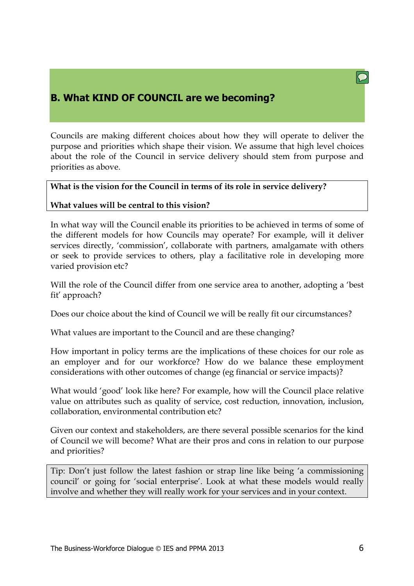# <span id="page-5-0"></span>[B. What KIND OF COUNCIL are we becoming?](#page-0-0)

Councils are making different choices about how they will operate to deliver the purpose and priorities which shape their vision. We assume that high level choices about the role of the Council in service delivery should stem from purpose and priorities as above.

#### What is the vision for the Council in terms of its role in service delivery?

#### What values will be central to this vision?

In what way will the Council enable its priorities to be achieved in terms of some of the different models for how Councils may operate? For example, will it deliver services directly, 'commission', collaborate with partners, amalgamate with others or seek to provide services to others, play a facilitative role in developing more varied provision etc?

Will the role of the Council differ from one service area to another, adopting a 'best fit' approach?

Does our choice about the kind of Council we will be really fit our circumstances?

What values are important to the Council and are these changing?

How important in policy terms are the implications of these choices for our role as an employer and for our workforce? How do we balance these employment considerations with other outcomes of change (eg financial or service impacts)?

What would 'good' look like here? For example, how will the Council place relative value on attributes such as quality of service, cost reduction, innovation, inclusion, collaboration, environmental contribution etc?

Given our context and stakeholders, are there several possible scenarios for the kind of Council we will become? What are their pros and cons in relation to our purpose and priorities?

Tip: Don't just follow the latest fashion or strap line like being 'a commissioning council' or going for 'social enterprise'. Look at what these models would really involve and whether they will really work for your services and in your context.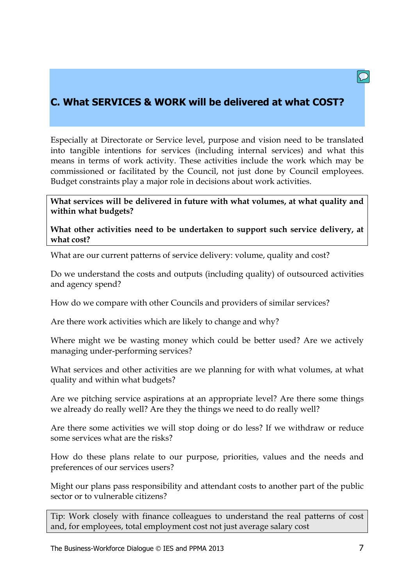# <span id="page-6-0"></span>[C. What SERVICES & WORK will be delivered at what COST?](#page-0-0)

Especially at Directorate or Service level, purpose and vision need to be translated into tangible intentions for services (including internal services) and what this means in terms of work activity. These activities include the work which may be commissioned or facilitated by the Council, not just done by Council employees. Budget constraints play a major role in decisions about work activities.

What services will be delivered in future with what volumes, at what quality and within what budgets?

#### What other activities need to be undertaken to support such service delivery, at what cost?

What are our current patterns of service delivery: volume, quality and cost?

Do we understand the costs and outputs (including quality) of outsourced activities and agency spend?

How do we compare with other Councils and providers of similar services?

Are there work activities which are likely to change and why?

Where might we be wasting money which could be better used? Are we actively managing under-performing services?

What services and other activities are we planning for with what volumes, at what quality and within what budgets?

Are we pitching service aspirations at an appropriate level? Are there some things we already do really well? Are they the things we need to do really well?

Are there some activities we will stop doing or do less? If we withdraw or reduce some services what are the risks?

How do these plans relate to our purpose, priorities, values and the needs and preferences of our services users?

Might our plans pass responsibility and attendant costs to another part of the public sector or to vulnerable citizens?

Tip: Work closely with finance colleagues to understand the real patterns of cost and, for employees, total employment cost not just average salary cost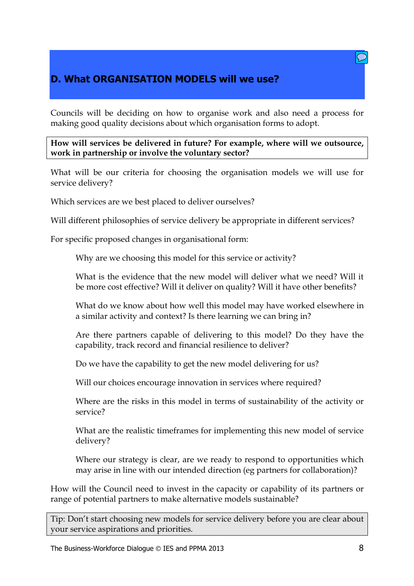# <span id="page-7-0"></span>[D. What ORGANISATION MODELS will we use?](#page-0-0)

Councils will be deciding on how to organise work and also need a process for making good quality decisions about which organisation forms to adopt.

How will services be delivered in future? For example, where will we outsource, work in partnership or involve the voluntary sector?

What will be our criteria for choosing the organisation models we will use for service delivery?

Which services are we best placed to deliver ourselves?

Will different philosophies of service delivery be appropriate in different services?

For specific proposed changes in organisational form:

Why are we choosing this model for this service or activity?

What is the evidence that the new model will deliver what we need? Will it be more cost effective? Will it deliver on quality? Will it have other benefits?

What do we know about how well this model may have worked elsewhere in a similar activity and context? Is there learning we can bring in?

Are there partners capable of delivering to this model? Do they have the capability, track record and financial resilience to deliver?

Do we have the capability to get the new model delivering for us?

Will our choices encourage innovation in services where required?

Where are the risks in this model in terms of sustainability of the activity or service?

What are the realistic timeframes for implementing this new model of service delivery?

Where our strategy is clear, are we ready to respond to opportunities which may arise in line with our intended direction (eg partners for collaboration)?

How will the Council need to invest in the capacity or capability of its partners or range of potential partners to make alternative models sustainable?

Tip: Don't start choosing new models for service delivery before you are clear about your service aspirations and priorities.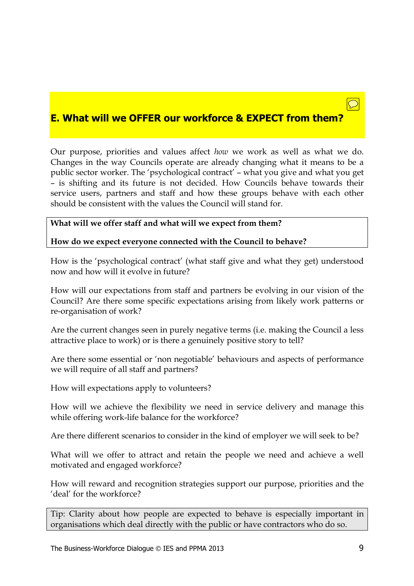## <span id="page-8-0"></span>[E. What will we OFFER our workforce & EXPECT from them?](#page-0-0)

Our purpose, priorities and values affect how we work as well as what we do. Changes in the way Councils operate are already changing what it means to be a public sector worker. The 'psychological contract' – what you give and what you get – is shifting and its future is not decided. How Councils behave towards their service users, partners and staff and how these groups behave with each other should be consistent with the values the Council will stand for.

#### What will we offer staff and what will we expect from them?

How do we expect everyone connected with the Council to behave?

How is the 'psychological contract' (what staff give and what they get) understood now and how will it evolve in future?

How will our expectations from staff and partners be evolving in our vision of the Council? Are there some specific expectations arising from likely work patterns or re-organisation of work?

Are the current changes seen in purely negative terms (i.e. making the Council a less attractive place to work) or is there a genuinely positive story to tell?

Are there some essential or 'non negotiable' behaviours and aspects of performance we will require of all staff and partners?

How will expectations apply to volunteers?

How will we achieve the flexibility we need in service delivery and manage this while offering work-life balance for the workforce?

Are there different scenarios to consider in the kind of employer we will seek to be?

What will we offer to attract and retain the people we need and achieve a well motivated and engaged workforce?

How will reward and recognition strategies support our purpose, priorities and the 'deal' for the workforce?

Tip: Clarity about how people are expected to behave is especially important in organisations which deal directly with the public or have contractors who do so.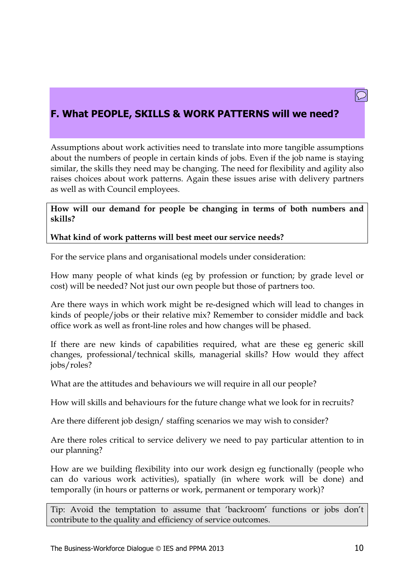# <span id="page-9-0"></span>[F. What PEOPLE, SKILLS & WORK PATTERNS will we need?](#page-0-0)

Assumptions about work activities need to translate into more tangible assumptions about the numbers of people in certain kinds of jobs. Even if the job name is staying similar, the skills they need may be changing. The need for flexibility and agility also raises choices about work patterns. Again these issues arise with delivery partners as well as with Council employees.

How will our demand for people be changing in terms of both numbers and skills?

#### What kind of work patterns will best meet our service needs?

For the service plans and organisational models under consideration:

How many people of what kinds (eg by profession or function; by grade level or cost) will be needed? Not just our own people but those of partners too.

Are there ways in which work might be re-designed which will lead to changes in kinds of people/jobs or their relative mix? Remember to consider middle and back office work as well as front-line roles and how changes will be phased.

If there are new kinds of capabilities required, what are these eg generic skill changes, professional/technical skills, managerial skills? How would they affect jobs/roles?

What are the attitudes and behaviours we will require in all our people?

How will skills and behaviours for the future change what we look for in recruits?

Are there different job design/ staffing scenarios we may wish to consider?

Are there roles critical to service delivery we need to pay particular attention to in our planning?

How are we building flexibility into our work design eg functionally (people who can do various work activities), spatially (in where work will be done) and temporally (in hours or patterns or work, permanent or temporary work)?

Tip: Avoid the temptation to assume that 'backroom' functions or jobs don't contribute to the quality and efficiency of service outcomes.

 $|O|$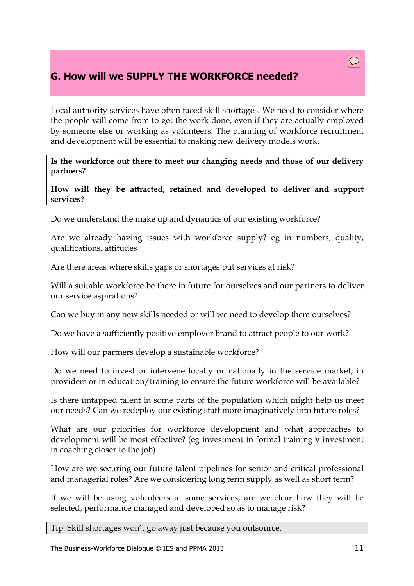# <span id="page-10-0"></span>[G. How will we SUPPLY THE WORKFORCE needed?](#page-0-0)

Local authority services have often faced skill shortages. We need to consider where the people will come from to get the work done, even if they are actually employed by someone else or working as volunteers. The planning of workforce recruitment and development will be essential to making new delivery models work.

Is the workforce out there to meet our changing needs and those of our delivery partners?

How will they be attracted, retained and developed to deliver and support services?

Do we understand the make up and dynamics of our existing workforce?

Are we already having issues with workforce supply? eg in numbers, quality, qualifications, attitudes

Are there areas where skills gaps or shortages put services at risk?

Will a suitable workforce be there in future for ourselves and our partners to deliver our service aspirations?

Can we buy in any new skills needed or will we need to develop them ourselves?

Do we have a sufficiently positive employer brand to attract people to our work?

How will our partners develop a sustainable workforce?

Do we need to invest or intervene locally or nationally in the service market, in providers or in education/training to ensure the future workforce will be available?

Is there untapped talent in some parts of the population which might help us meet our needs? Can we redeploy our existing staff more imaginatively into future roles?

What are our priorities for workforce development and what approaches to development will be most effective? (eg investment in formal training v investment in coaching closer to the job)

How are we securing our future talent pipelines for senior and critical professional and managerial roles? Are we considering long term supply as well as short term?

If we will be using volunteers in some services, are we clear how they will be selected, performance managed and developed so as to manage risk?

Tip: Skill shortages won't go away just because you outsource.

 $\overline{\bigcirc}$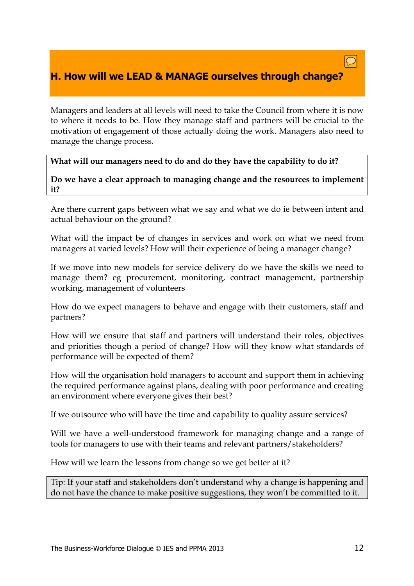### <span id="page-11-0"></span>[H. How will we LEAD & MANAGE ourselves through change?](#page-0-0)

Managers and leaders at all levels will need to take the Council from where it is now to where it needs to be. How they manage staff and partners will be crucial to the motivation of engagement of those actually doing the work. Managers also need to manage the change process.

#### What will our managers need to do and do they have the capability to do it?

Do we have a clear approach to managing change and the resources to implement it?

Are there current gaps between what we say and what we do ie between intent and actual behaviour on the ground?

What will the impact be of changes in services and work on what we need from managers at varied levels? How will their experience of being a manager change?

If we move into new models for service delivery do we have the skills we need to manage them? eg procurement, monitoring, contract management, partnership working, management of volunteers

How do we expect managers to behave and engage with their customers, staff and partners?

How will we ensure that staff and partners will understand their roles, objectives and priorities though a period of change? How will they know what standards of performance will be expected of them?

How will the organisation hold managers to account and support them in achieving the required performance against plans, dealing with poor performance and creating an environment where everyone gives their best?

If we outsource who will have the time and capability to quality assure services?

Will we have a well-understood framework for managing change and a range of tools for managers to use with their teams and relevant partners/stakeholders?

How will we learn the lessons from change so we get better at it?

Tip: If your staff and stakeholders don't understand why a change is happening and do not have the chance to make positive suggestions, they won't be committed to it.

 $\bigcirc$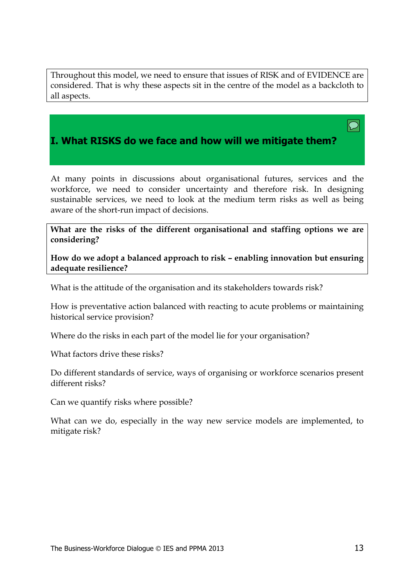<span id="page-12-0"></span>Throughout this model, we need to ensure that issues of RISK and of EVIDENCE are considered. That is why these aspects sit in the centre of the model as a backcloth to all aspects.

### [I. What RISKS do we face and how will we mitigate them?](#page-0-0)

At many points in discussions about organisational futures, services and the workforce, we need to consider uncertainty and therefore risk. In designing sustainable services, we need to look at the medium term risks as well as being aware of the short-run impact of decisions.

What are the risks of the different organisational and staffing options we are considering?

How do we adopt a balanced approach to risk – enabling innovation but ensuring adequate resilience?

What is the attitude of the organisation and its stakeholders towards risk?

How is preventative action balanced with reacting to acute problems or maintaining historical service provision?

Where do the risks in each part of the model lie for your organisation?

What factors drive these risks?

Do different standards of service, ways of organising or workforce scenarios present different risks?

Can we quantify risks where possible?

What can we do, especially in the way new service models are implemented, to mitigate risk?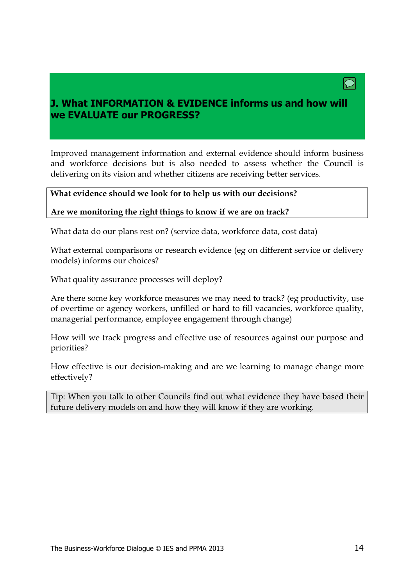### <span id="page-13-0"></span>[J. What INFORMATION & EVIDENCE informs us and how will](#page-0-0) we EVALUATE our PROGRESS?

Improved management information and external evidence should inform business and workforce decisions but is also needed to assess whether the Council is delivering on its vision and whether citizens are receiving better services.

#### What evidence should we look for to help us with our decisions?

#### Are we monitoring the right things to know if we are on track?

What data do our plans rest on? (service data, workforce data, cost data)

What external comparisons or research evidence (eg on different service or delivery models) informs our choices?

What quality assurance processes will deploy?

Are there some key workforce measures we may need to track? (eg productivity, use of overtime or agency workers, unfilled or hard to fill vacancies, workforce quality, managerial performance, employee engagement through change)

How will we track progress and effective use of resources against our purpose and priorities?

How effective is our decision-making and are we learning to manage change more effectively?

Tip: When you talk to other Councils find out what evidence they have based their future delivery models on and how they will know if they are working.